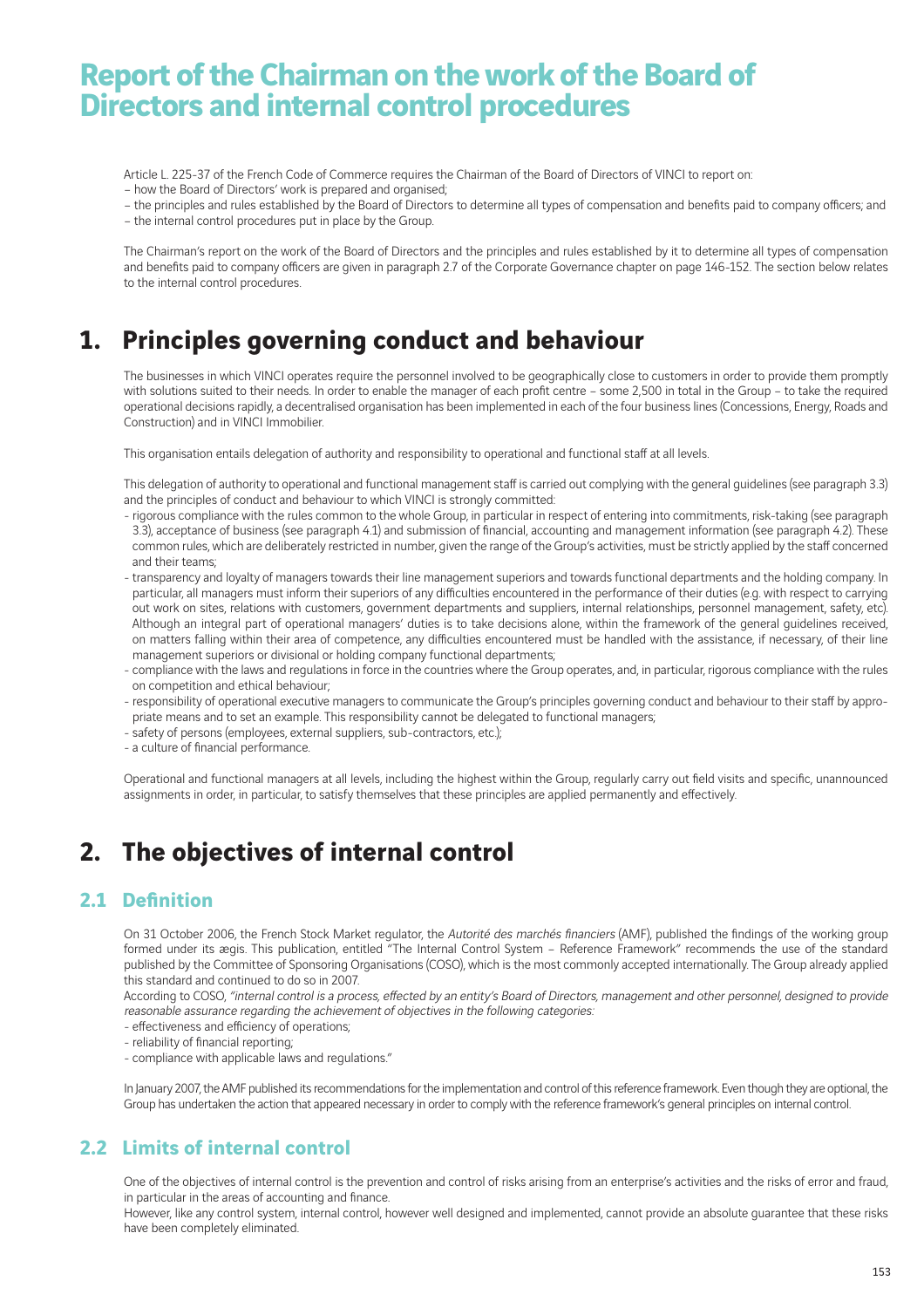# **Report of the Chairman on the work of the Board of Directors and internal control procedures**

Article L. 225-37 of the French Code of Commerce requires the Chairman of the Board of Directors of VINCI to report on: – how the Board of Directors' work is prepared and organised;

– the principles and rules established by the Board of Directors to determine all types of compensation and benefits paid to company officers; and – the internal control procedures put in place by the Group.

The Chairman's report on the work of the Board of Directors and the principles and rules established by it to determine all types of compensation and benefits paid to company officers are given in paragraph 2.7 of the Corporate Governance chapter on page 146-152. The section below relates to the internal control procedures.

## **1. Principles governing conduct and behaviour**

The businesses in which VINCI operates require the personnel involved to be geographically close to customers in order to provide them promptly with solutions suited to their needs. In order to enable the manager of each profit centre - some 2,500 in total in the Group - to take the required operational decisions rapidly, a decentralised organisation has been implemented in each of the four business lines (Concessions, Energy, Roads and Construction) and in VINCI Immobilier.

This organisation entails delegation of authority and responsibility to operational and functional staff at all levels.

This delegation of authority to operational and functional management staff is carried out complying with the general guidelines (see paragraph 3.3) and the principles of conduct and behaviour to which VINCI is strongly committed:

- rigorous compliance with the rules common to the whole Group, in particular in respect of entering into commitments, risk-taking (see paragraph 3.3), acceptance of business (see paragraph 4.1) and submission of financial, accounting and management information (see paragraph 4.2). These common rules, which are deliberately restricted in number, given the range of the Group's activities, must be strictly applied by the staff concerned and their teams;
- transparency and loyalty of managers towards their line management superiors and towards functional departments and the holding company. In particular, all managers must inform their superiors of any difficulties encountered in the performance of their duties (e.g. with respect to carrying out work on sites, relations with customers, government departments and suppliers, internal relationships, personnel management, safety, etc). Although an integral part of operational managers' duties is to take decisions alone, within the framework of the general guidelines received, on matters falling within their area of competence, any difficulties encountered must be handled with the assistance, if necessary, of their line management superiors or divisional or holding company functional departments;
- compliance with the laws and regulations in force in the countries where the Group operates, and, in particular, rigorous compliance with the rules on competition and ethical behaviour;
- responsibility of operational executive managers to communicate the Group's principles governing conduct and behaviour to their staff by appropriate means and to set an example. This responsibility cannot be delegated to functional managers;
- safety of persons (employees, external suppliers, sub-contractors, etc.);
- a culture of financial performance.

Operational and functional managers at all levels, including the highest within the Group, regularly carry out field visits and specific, unannounced assignments in order, in particular, to satisfy themselves that these principles are applied permanently and effectively.

## **2. The objectives of internal control**

### **2.1 Definition**

On 31 October 2006, the French Stock Market regulator, the Autorité des marchés financiers (AMF), published the findings of the working group formed under its ægis. This publication, entitled "The Internal Control System - Reference Framework" recommends the use of the standard published by the Committee of Sponsoring Organisations (COSO), which is the most commonly accepted internationally. The Group already applied this standard and continued to do so in 2007.

According to COSO, "internal control is a process, effected by an entity's Board of Directors, management and other personnel, designed to provide reasonable assurance regarding the achievement of objectives in the following categories:

- effectiveness and efficiency of operations:
- reliability of financial reporting;
- compliance with applicable laws and regulations."

In January 2007, the AMF published its recommendations for the implementation and control of this reference framework. Even though they are optional, the Group has undertaken the action that appeared necessary in order to comply with the reference framework's general principles on internal control.

#### **2.2 Limits of internal control**

One of the objectives of internal control is the prevention and control of risks arising from an enterprise's activities and the risks of error and fraud, in particular in the areas of accounting and finance.

However, like any control system, internal control, however well designed and implemented, cannot provide an absolute guarantee that these risks have been completely eliminated.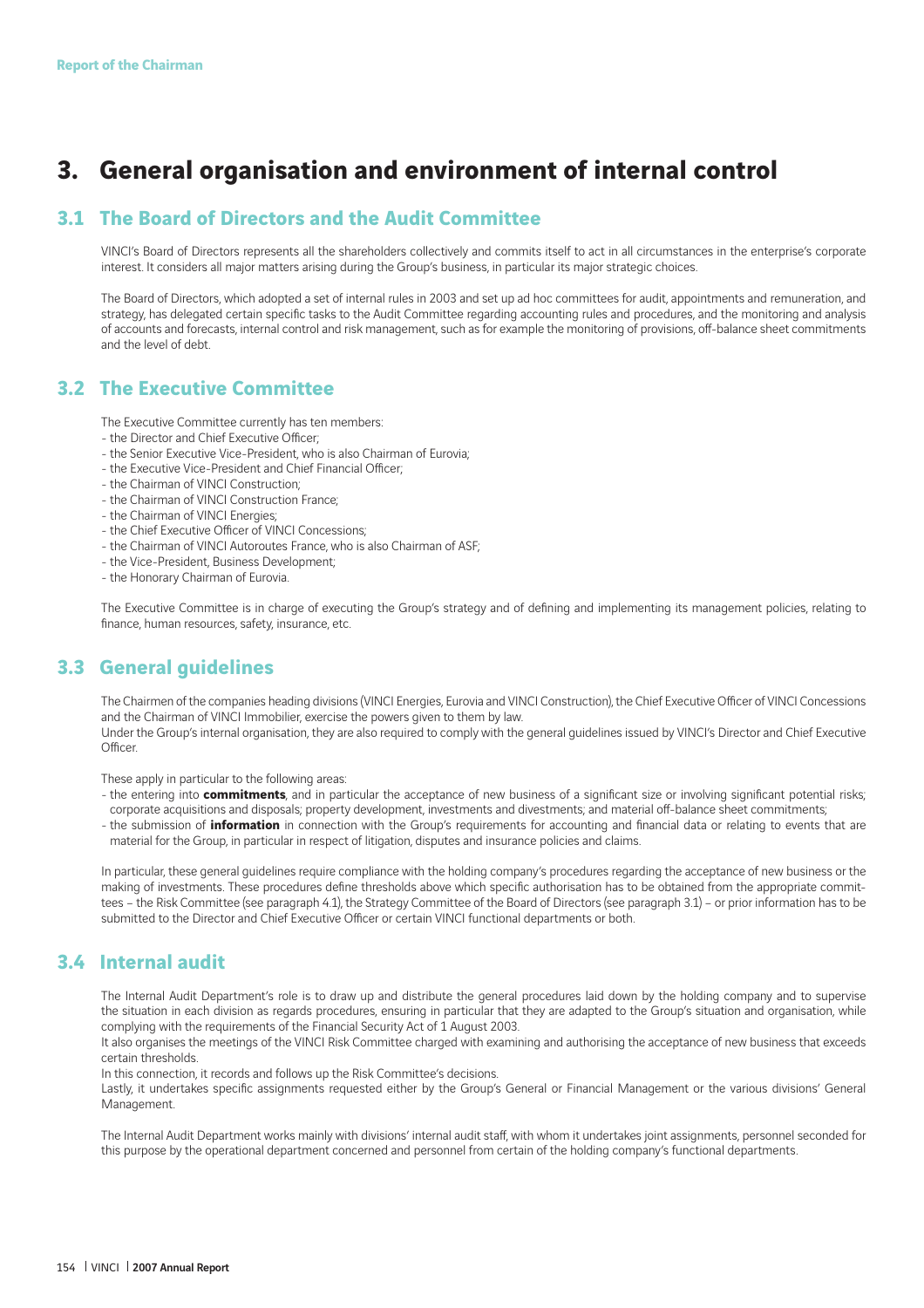# **3. General organisation and environment of internal control**

### **3.1 The Board of Directors and the Audit Committee**

VINCI's Board of Directors represents all the shareholders collectively and commits itself to act in all circumstances in the enterprise's corporate interest. It considers all major matters arising during the Group's business, in particular its major strategic choices.

The Board of Directors, which adopted a set of internal rules in 2003 and set up ad hoc committees for audit, appointments and remuneration, and strategy, has delegated certain specific tasks to the Audit Committee regarding accounting rules and procedures, and the monitoring and analysis of accounts and forecasts, internal control and risk management, such as for example the monitoring of provisions, off -balance sheet commitments and the level of debt.

#### **3.2 The Executive Committee**

The Executive Committee currently has ten members:

- the Director and Chief Executive Officer:
- the Senior Executive Vice-President, who is also Chairman of Eurovia;
- the Executive Vice-President and Chief Financial Officer:
- the Chairman of VINCI Construction;
- the Chairman of VINCI Construction France;
- the Chairman of VINCI Energies;
- the Chief Executive Officer of VINCI Concessions;
- the Chairman of VINCI Autoroutes France, who is also Chairman of ASF;
- the Vice-President, Business Development;
- the Honorary Chairman of Eurovia.

The Executive Committee is in charge of executing the Group's strategy and of defining and implementing its management policies, relating to finance, human resources, safety, insurance, etc.

#### **3.3 General guidelines**

The Chairmen of the companies heading divisions (VINCI Energies, Eurovia and VINCI Construction), the Chief Executive Officer of VINCI Concessions and the Chairman of VINCI Immobilier, exercise the powers given to them by law.

Under the Group's internal organisation, they are also required to comply with the general guidelines issued by VINCI's Director and Chief Executive Officer

These apply in particular to the following areas:

- the entering into **commitments**, and in particular the acceptance of new business of a significant size or involving significant potential risks; corporate acquisitions and disposals; property development, investments and divestments; and material off -balance sheet commitments;
- the submission of *information* in connection with the Group's requirements for accounting and financial data or relating to events that are material for the Group, in particular in respect of litigation, disputes and insurance policies and claims.

In particular, these general guidelines require compliance with the holding company's procedures regarding the acceptance of new business or the making of investments. These procedures define thresholds above which specific authorisation has to be obtained from the appropriate committees – the Risk Committee (see paragraph 4.1), the Strategy Committee of the Board of Directors (see paragraph 3.1) – or prior information has to be submitted to the Director and Chief Executive Officer or certain VINCI functional departments or both.

#### **3.4 Internal audit**

The Internal Audit Department's role is to draw up and distribute the general procedures laid down by the holding company and to supervise the situation in each division as regards procedures, ensuring in particular that they are adapted to the Group's situation and organisation, while complying with the requirements of the Financial Security Act of 1 August 2003.

It also organises the meetings of the VINCI Risk Committee charged with examining and authorising the acceptance of new business that exceeds certain thresholds.

In this connection, it records and follows up the Risk Committee's decisions.

Lastly, it undertakes specific assignments requested either by the Group's General or Financial Management or the various divisions' General Management.

The Internal Audit Department works mainly with divisions' internal audit staff, with whom it undertakes joint assignments, personnel seconded for this purpose by the operational department concerned and personnel from certain of the holding company's functional departments.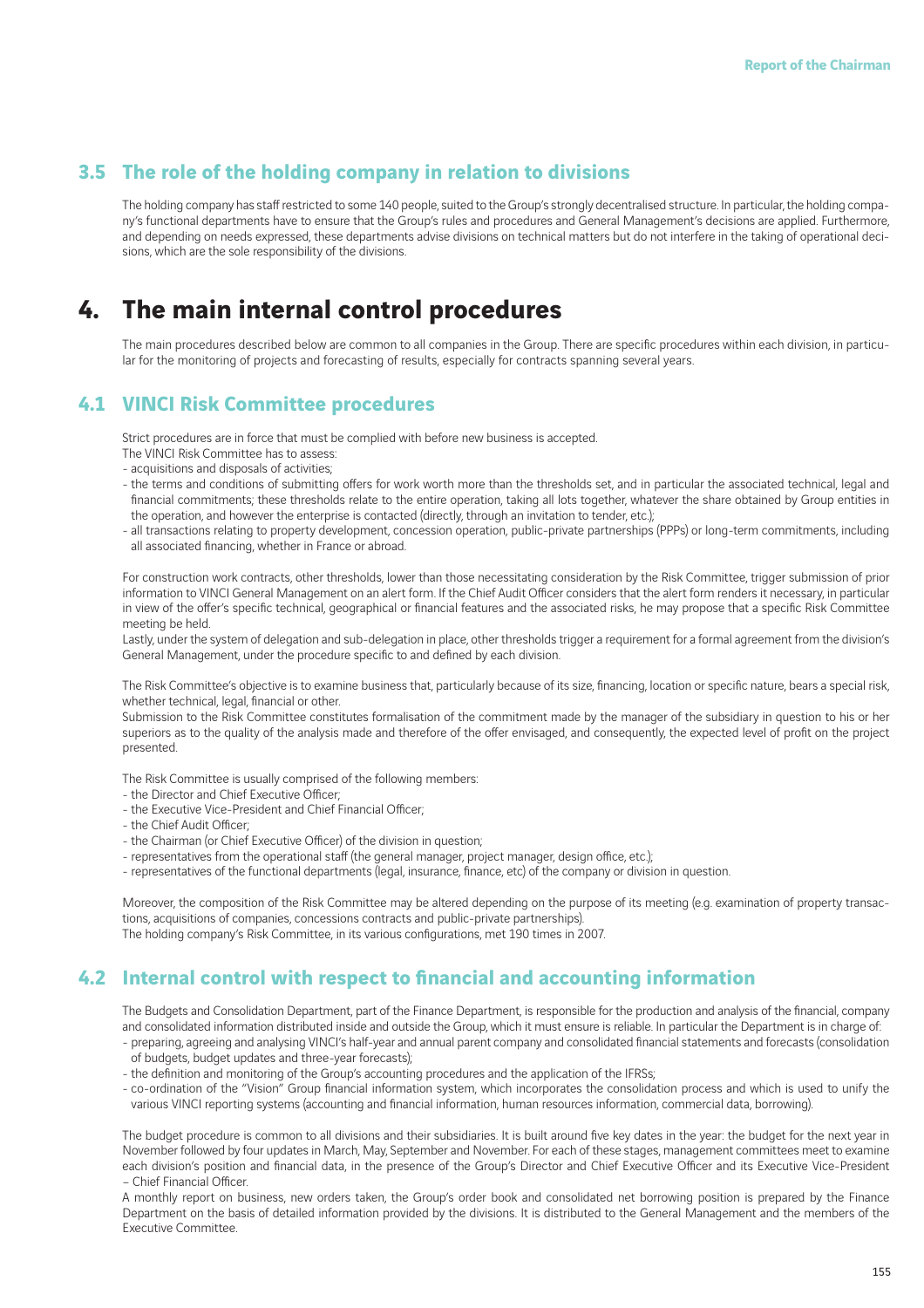### **3.5 The role of the holding company in relation to divisions**

The holding company has staff restricted to some 140 people, suited to the Group's strongly decentralised structure. In particular, the holding company's functional departments have to ensure that the Group's rules and procedures and General Management's decisions are applied. Furthermore, and depending on needs expressed, these departments advise divisions on technical matters but do not interfere in the taking of operational decisions, which are the sole responsibility of the divisions.

### **4. The main internal control procedures**

The main procedures described below are common to all companies in the Group. There are specific procedures within each division, in particular for the monitoring of projects and forecasting of results, especially for contracts spanning several years.

#### **4.1 VINCI Risk Committee procedures**

Strict procedures are in force that must be complied with before new business is accepted.

- The VINCI Risk Committee has to assess:
- acquisitions and disposals of activities;
- the terms and conditions of submitting offers for work worth more than the thresholds set, and in particular the associated technical, legal and financial commitments; these thresholds relate to the entire operation, taking all lots together, whatever the share obtained by Group entities in the operation, and however the enterprise is contacted (directly, through an invitation to tender, etc.);
- all transactions relating to property development, concession operation, public-private partnerships (PPPs) or long-term commitments, including all associated financing, whether in France or abroad.

For construction work contracts, other thresholds, lower than those necessitating consideration by the Risk Committee, trigger submission of prior information to VINCI General Management on an alert form. If the Chief Audit Officer considers that the alert form renders it necessary, in particular in view of the offer's specific technical, geographical or financial features and the associated risks, he may propose that a specific Risk Committee meeting be held.

Lastly, under the system of delegation and sub-delegation in place, other thresholds trigger a requirement for a formal agreement from the division's General Management, under the procedure specific to and defined by each division.

The Risk Committee's objective is to examine business that, particularly because of its size, financing, location or specific nature, bears a special risk, whether technical, legal, financial or other.

Submission to the Risk Committee constitutes formalisation of the commitment made by the manager of the subsidiary in question to his or her superiors as to the quality of the analysis made and therefore of the offer envisaged, and consequently, the expected level of profit on the project presented.

The Risk Committee is usually comprised of the following members:

- the Director and Chief Executive Officer:
- the Executive Vice-President and Chief Financial Officer;
- the Chief Audit Officer;
- the Chairman (or Chief Executive Officer) of the division in question;
- representatives from the operational staff (the general manager, project manager, design office, etc.);
- representatives of the functional departments (legal, insurance, finance, etc) of the company or division in question.

Moreover, the composition of the Risk Committee may be altered depending on the purpose of its meeting (e.g. examination of property transactions, acquisitions of companies, concessions contracts and public-private partnerships). The holding company's Risk Committee, in its various configurations, met 190 times in 2007.

#### **4.2 Internal control with respect to financial and accounting information**

The Budgets and Consolidation Department, part of the Finance Department, is responsible for the production and analysis of the financial, company and consolidated information distributed inside and outside the Group, which it must ensure is reliable. In particular the Department is in charge of:

- preparing, agreeing and analysing VINCI's half-year and annual parent company and consolidated financial statements and forecasts (consolidation of budgets, budget updates and three-year forecasts);
- the definition and monitoring of the Group's accounting procedures and the application of the IFRSs;
- co-ordination of the "Vision" Group financial information system, which incorporates the consolidation process and which is used to unify the various VINCI reporting systems (accounting and financial information, human resources information, commercial data, borrowing).

The budget procedure is common to all divisions and their subsidiaries. It is built around five key dates in the year: the budget for the next year in November followed by four updates in March, May, September and November. For each of these stages, management committees meet to examine each division's position and financial data, in the presence of the Group's Director and Chief Executive Officer and its Executive Vice-President - Chief Financial Officer.

A monthly report on business, new orders taken, the Group's order book and consolidated net borrowing position is prepared by the Finance Department on the basis of detailed information provided by the divisions. It is distributed to the General Management and the members of the Executive Committee.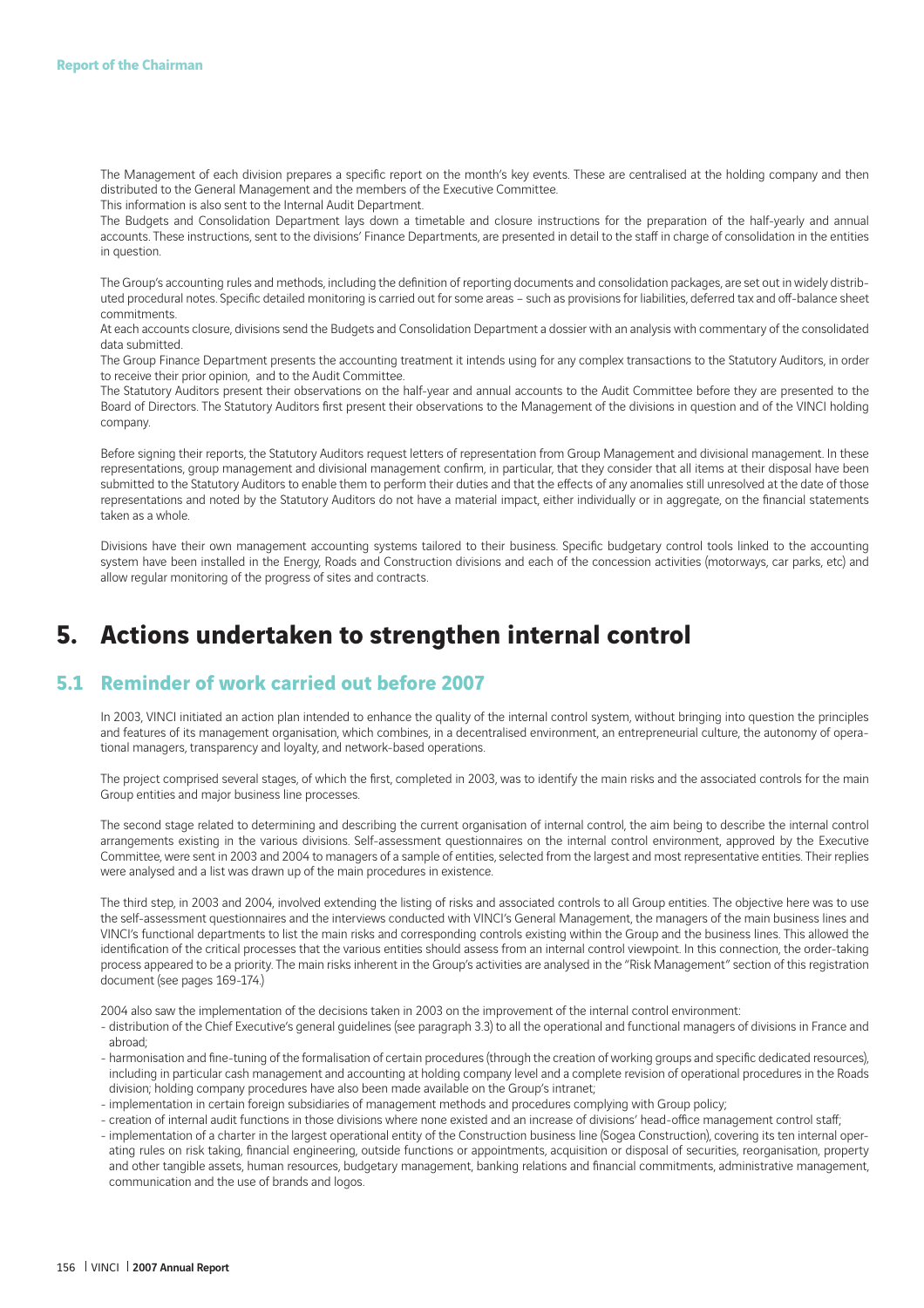The Management of each division prepares a specific report on the month's key events. These are centralised at the holding company and then distributed to the General Management and the members of the Executive Committee. This information is also sent to the Internal Audit Department.

The Budgets and Consolidation Department lays down a timetable and closure instructions for the preparation of the half-yearly and annual accounts. These instructions, sent to the divisions' Finance Departments, are presented in detail to the staff in charge of consolidation in the entities in question.

The Group's accounting rules and methods, including the definition of reporting documents and consolidation packages, are set out in widely distributed procedural notes. Specific detailed monitoring is carried out for some areas - such as provisions for liabilities, deferred tax and off-balance sheet commitments.

At each accounts closure, divisions send the Budgets and Consolidation Department a dossier with an analysis with commentary of the consolidated data submitted.

The Group Finance Department presents the accounting treatment it intends using for any complex transactions to the Statutory Auditors, in order to receive their prior opinion, and to the Audit Committee.

The Statutory Auditors present their observations on the half-year and annual accounts to the Audit Committee before they are presented to the Board of Directors. The Statutory Auditors first present their observations to the Management of the divisions in question and of the VINCI holding company.

Before signing their reports, the Statutory Auditors request letters of representation from Group Management and divisional management. In these representations, group management and divisional management confirm, in particular, that they consider that all items at their disposal have been submitted to the Statutory Auditors to enable them to perform their duties and that the effects of any anomalies still unresolved at the date of those representations and noted by the Statutory Auditors do not have a material impact, either individually or in aggregate, on the financial statements taken as a whole.

Divisions have their own management accounting systems tailored to their business. Specifi c budgetary control tools linked to the accounting system have been installed in the Energy, Roads and Construction divisions and each of the concession activities (motorways, car parks, etc) and allow regular monitoring of the progress of sites and contracts.

### **5. Actions undertaken to strengthen internal control**

#### **5.1 Reminder of work carried out before 2007**

In 2003, VINCI initiated an action plan intended to enhance the quality of the internal control system, without bringing into question the principles and features of its management organisation, which combines, in a decentralised environment, an entrepreneurial culture, the autonomy of operational managers, transparency and loyalty, and network-based operations.

The project comprised several stages, of which the first, completed in 2003, was to identify the main risks and the associated controls for the main Group entities and major business line processes.

The second stage related to determining and describing the current organisation of internal control, the aim being to describe the internal control arrangements existing in the various divisions. Self-assessment questionnaires on the internal control environment, approved by the Executive Committee, were sent in 2003 and 2004 to managers of a sample of entities, selected from the largest and most representative entities. Their replies were analysed and a list was drawn up of the main procedures in existence.

The third step, in 2003 and 2004, involved extending the listing of risks and associated controls to all Group entities. The objective here was to use the self-assessment questionnaires and the interviews conducted with VINCI's General Management, the managers of the main business lines and VINCI's functional departments to list the main risks and corresponding controls existing within the Group and the business lines. This allowed the identification of the critical processes that the various entities should assess from an internal control viewpoint. In this connection, the order-taking process appeared to be a priority. The main risks inherent in the Group's activities are analysed in the "Risk Management" section of this registration document (see pages 169-174.)

2004 also saw the implementation of the decisions taken in 2003 on the improvement of the internal control environment:

- distribution of the Chief Executive's general guidelines (see paragraph 3.3) to all the operational and functional managers of divisions in France and abroad;
- harmonisation and fine-tuning of the formalisation of certain procedures (through the creation of working groups and specific dedicated resources), including in particular cash management and accounting at holding company level and a complete revision of operational procedures in the Roads division; holding company procedures have also been made available on the Group's intranet;
- implementation in certain foreign subsidiaries of management methods and procedures complying with Group policy;
- creation of internal audit functions in those divisions where none existed and an increase of divisions' head-office management control staff;
- implementation of a charter in the largest operational entity of the Construction business line (Sogea Construction), covering its ten internal operating rules on risk taking, financial engineering, outside functions or appointments, acquisition or disposal of securities, reorganisation, property and other tangible assets, human resources, budgetary management, banking relations and financial commitments, administrative management, communication and the use of brands and logos.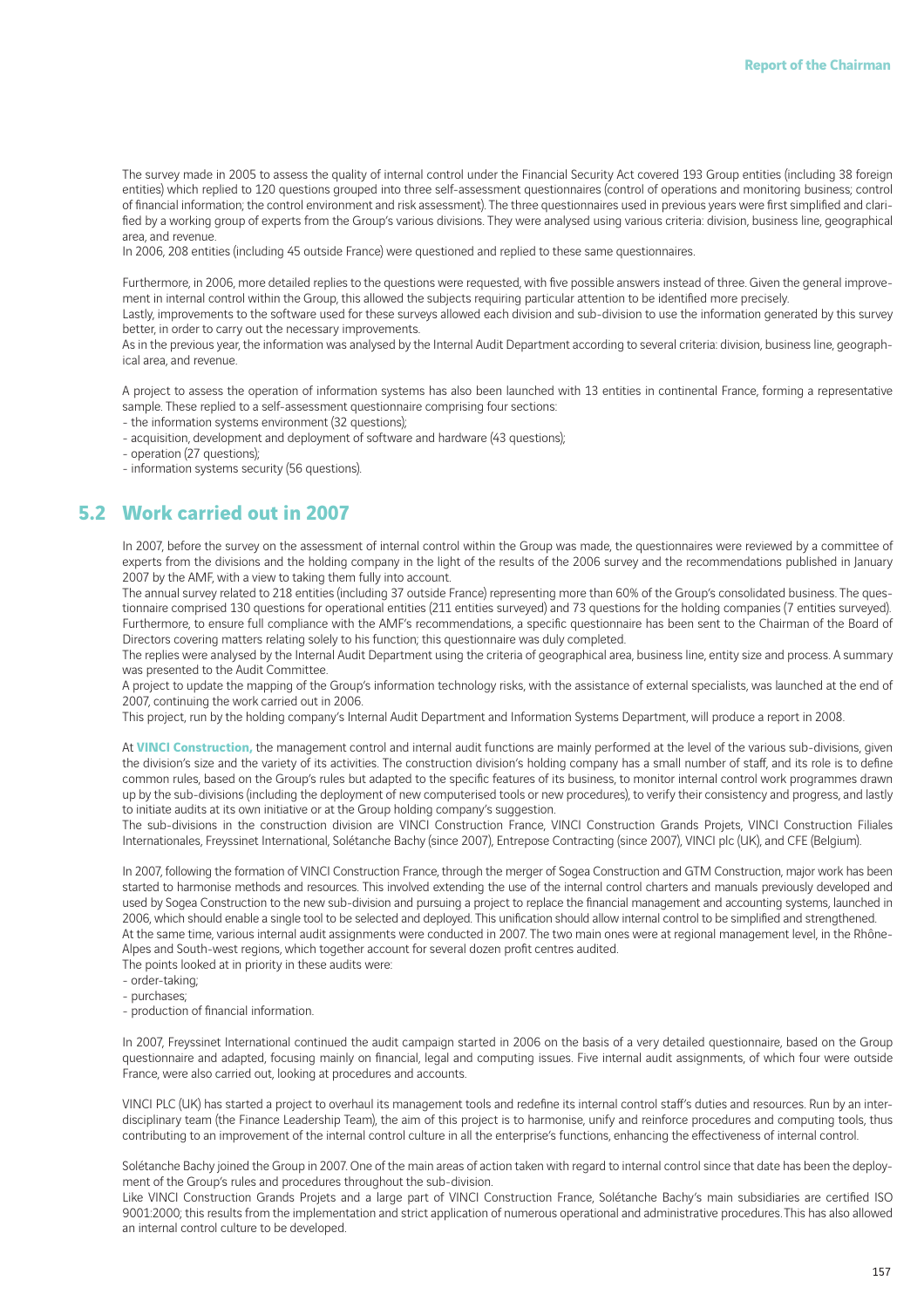The survey made in 2005 to assess the quality of internal control under the Financial Security Act covered 193 Group entities (including 38 foreign entities) which replied to 120 questions grouped into three self-assessment questionnaires (control of operations and monitoring business; control of financial information; the control environment and risk assessment). The three questionnaires used in previous years were first simplified and clarified by a working group of experts from the Group's various divisions. They were analysed using various criteria: division, business line, geographical area, and revenue.

In 2006, 208 entities (including 45 outside France) were questioned and replied to these same questionnaires.

Furthermore, in 2006, more detailed replies to the questions were requested, with five possible answers instead of three. Given the general improvement in internal control within the Group, this allowed the subjects requiring particular attention to be identified more precisely. Lastly, improvements to the software used for these surveys allowed each division and sub-division to use the information generated by this survey

better, in order to carry out the necessary improvements.

As in the previous year, the information was analysed by the Internal Audit Department according to several criteria: division, business line, geographical area, and revenue.

A project to assess the operation of information systems has also been launched with 13 entities in continental France, forming a representative sample. These replied to a self-assessment questionnaire comprising four sections:

- the information systems environment (32 questions);
- acquisition, development and deployment of software and hardware (43 questions);
- operation (27 questions);
- information systems security (56 questions).

#### **5.2 Work carried out in 2007**

In 2007, before the survey on the assessment of internal control within the Group was made, the questionnaires were reviewed by a committee of experts from the divisions and the holding company in the light of the results of the 2006 survey and the recommendations published in January 2007 by the AMF, with a view to taking them fully into account.

The annual survey related to 218 entities (including 37 outside France) representing more than 60% of the Group's consolidated business. The questionnaire comprised 130 questions for operational entities (211 entities surveyed) and 73 questions for the holding companies (7 entities surveyed). Furthermore, to ensure full compliance with the AMF's recommendations, a specific questionnaire has been sent to the Chairman of the Board of Directors covering matters relating solely to his function; this questionnaire was duly completed.

The replies were analysed by the Internal Audit Department using the criteria of geographical area, business line, entity size and process. A summary was presented to the Audit Committee.

A project to update the mapping of the Group's information technology risks, with the assistance of external specialists, was launched at the end of 2007, continuing the work carried out in 2006.

This project, run by the holding company's Internal Audit Department and Information Systems Department, will produce a report in 2008.

At **VINCI Construction,** the management control and internal audit functions are mainly performed at the level of the various sub-divisions, given the division's size and the variety of its activities. The construction division's holding company has a small number of staff, and its role is to define common rules, based on the Group's rules but adapted to the specific features of its business, to monitor internal control work programmes drawn up by the sub-divisions (including the deployment of new computerised tools or new procedures), to verify their consistency and progress, and lastly to initiate audits at its own initiative or at the Group holding company's suggestion.

The sub-divisions in the construction division are VINCI Construction France, VINCI Construction Grands Projets, VINCI Construction Filiales Internationales, Freyssinet International, Solétanche Bachy (since 2007), Entrepose Contracting (since 2007), VINCI plc (UK), and CFE (Belgium).

In 2007, following the formation of VINCI Construction France, through the merger of Sogea Construction and GTM Construction, major work has been started to harmonise methods and resources. This involved extending the use of the internal control charters and manuals previously developed and used by Sogea Construction to the new sub-division and pursuing a project to replace the financial management and accounting systems, launched in 2006, which should enable a single tool to be selected and deployed. This unification should allow internal control to be simplified and strengthened. At the same time, various internal audit assignments were conducted in 2007. The two main ones were at regional management level, in the Rhône-Alpes and South-west regions, which together account for several dozen profit centres audited.

The points looked at in priority in these audits were:

- order-taking;
- purchases;
- production of financial information.

In 2007, Freyssinet International continued the audit campaign started in 2006 on the basis of a very detailed questionnaire, based on the Group questionnaire and adapted, focusing mainly on financial, legal and computing issues. Five internal audit assignments, of which four were outside France, were also carried out, looking at procedures and accounts.

VINCI PLC (UK) has started a project to overhaul its management tools and redefine its internal control staff's duties and resources. Run by an interdisciplinary team (the Finance Leadership Team), the aim of this project is to harmonise, unify and reinforce procedures and computing tools, thus contributing to an improvement of the internal control culture in all the enterprise's functions, enhancing the effectiveness of internal control.

Solétanche Bachy joined the Group in 2007. One of the main areas of action taken with regard to internal control since that date has been the deployment of the Group's rules and procedures throughout the sub-division.

Like VINCI Construction Grands Projets and a large part of VINCI Construction France, Solétanche Bachy's main subsidiaries are certified ISO 9001:2000; this results from the implementation and strict application of numerous operational and administrative procedures.This has also allowed an internal control culture to be developed.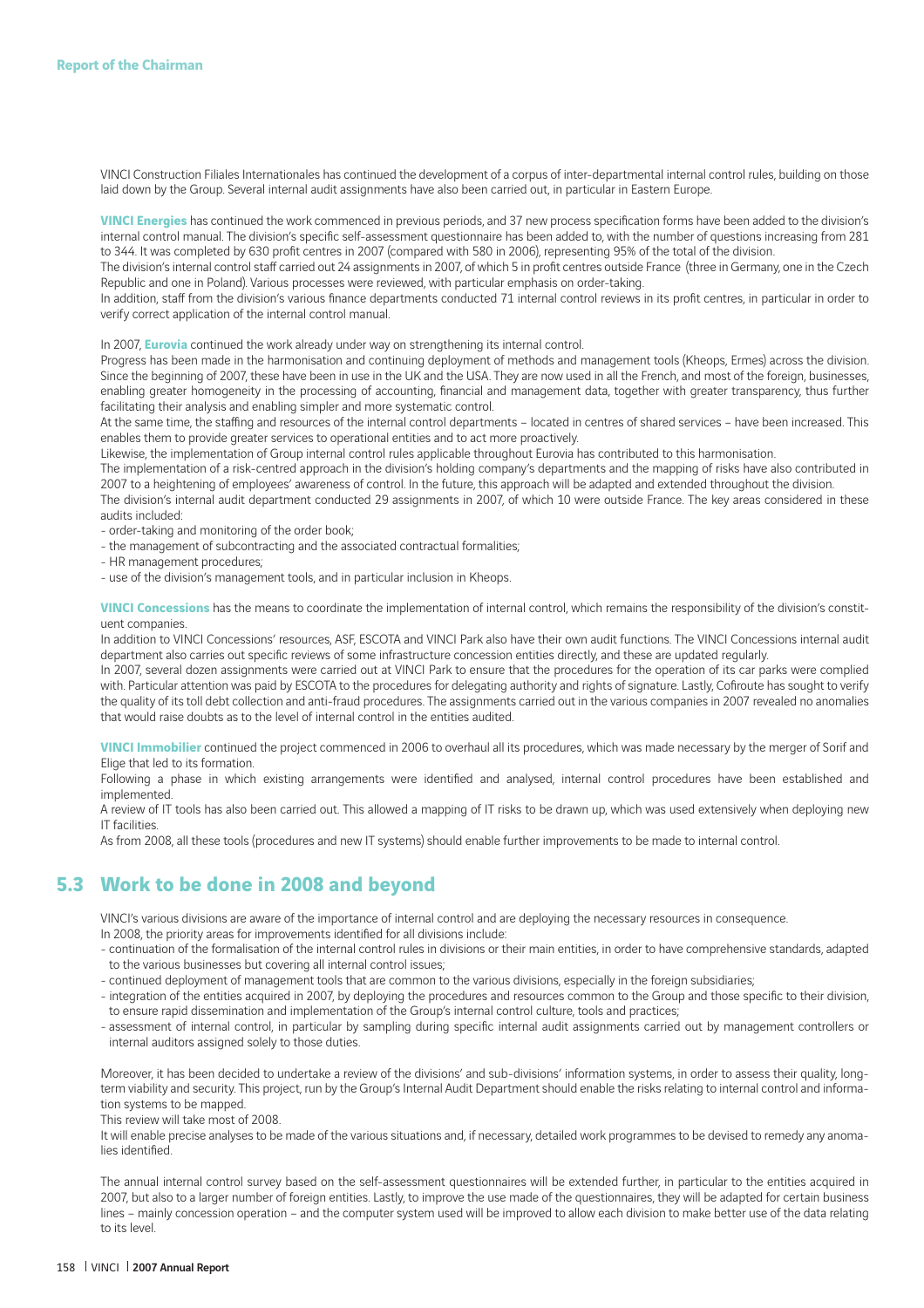VINCI Construction Filiales Internationales has continued the development of a corpus of inter-departmental internal control rules, building on those laid down by the Group. Several internal audit assignments have also been carried out, in particular in Eastern Europe.

VINCI Energies has continued the work commenced in previous periods, and 37 new process specification forms have been added to the division's internal control manual. The division's specific self-assessment questionnaire has been added to, with the number of questions increasing from 281 to 344. It was completed by 630 profit centres in 2007 (compared with 580 in 2006), representing 95% of the total of the division.

The division's internal control staff carried out 24 assignments in 2007, of which 5 in profit centres outside France (three in Germany, one in the Czech Republic and one in Poland). Various processes were reviewed, with particular emphasis on order-taking.

In addition, staff from the division's various finance departments conducted 71 internal control reviews in its profit centres, in particular in order to verify correct application of the internal control manual.

In 2007, **Eurovia** continued the work already under way on strengthening its internal control.

Progress has been made in the harmonisation and continuing deployment of methods and management tools (Kheops, Ermes) across the division. Since the beginning of 2007, these have been in use in the UK and the USA. They are now used in all the French, and most of the foreign, businesses, enabling greater homogeneity in the processing of accounting, financial and management data, together with greater transparency, thus further facilitating their analysis and enabling simpler and more systematic control.

At the same time, the staffing and resources of the internal control departments – located in centres of shared services – have been increased. This enables them to provide greater services to operational entities and to act more proactively.

Likewise, the implementation of Group internal control rules applicable throughout Eurovia has contributed to this harmonisation.

The implementation of a risk-centred approach in the division's holding company's departments and the mapping of risks have also contributed in 2007 to a heightening of employees' awareness of control. In the future, this approach will be adapted and extended throughout the division.

The division's internal audit department conducted 29 assignments in 2007, of which 10 were outside France. The key areas considered in these audits included:

- order-taking and monitoring of the order book;
- the management of subcontracting and the associated contractual formalities;
- HR management procedures;
- use of the division's management tools, and in particular inclusion in Kheops.

**VINCI Concessions** has the means to coordinate the implementation of internal control, which remains the responsibility of the division's constituent companies.

In addition to VINCI Concessions' resources, ASF, ESCOTA and VINCI Park also have their own audit functions. The VINCI Concessions internal audit department also carries out specific reviews of some infrastructure concession entities directly, and these are updated regularly.

In 2007, several dozen assignments were carried out at VINCI Park to ensure that the procedures for the operation of its car parks were complied with. Particular attention was paid by ESCOTA to the procedures for delegating authority and rights of signature. Lastly, Cofiroute has sought to verify the quality of its toll debt collection and anti-fraud procedures. The assignments carried out in the various companies in 2007 revealed no anomalies that would raise doubts as to the level of internal control in the entities audited.

**VINCI Immobilier** continued the project commenced in 2006 to overhaul all its procedures, which was made necessary by the merger of Sorif and Elige that led to its formation.

Following a phase in which existing arrangements were identified and analysed, internal control procedures have been established and implemented.

A review of IT tools has also been carried out. This allowed a mapping of IT risks to be drawn up, which was used extensively when deploying new IT facilities.

As from 2008, all these tools (procedures and new IT systems) should enable further improvements to be made to internal control.

#### **5.3 Work to be done in 2008 and beyond**

VINCI's various divisions are aware of the importance of internal control and are deploying the necessary resources in consequence.

In 2008, the priority areas for improvements identified for all divisions include:

- continuation of the formalisation of the internal control rules in divisions or their main entities, in order to have comprehensive standards, adapted to the various businesses but covering all internal control issues;
- continued deployment of management tools that are common to the various divisions, especially in the foreign subsidiaries;
- integration of the entities acquired in 2007, by deploying the procedures and resources common to the Group and those specifi c to their division, to ensure rapid dissemination and implementation of the Group's internal control culture, tools and practices;
- assessment of internal control, in particular by sampling during specific internal audit assignments carried out by management controllers or internal auditors assigned solely to those duties.

Moreover, it has been decided to undertake a review of the divisions' and sub-divisions' information systems, in order to assess their quality, longterm viability and security. This project, run by the Group's Internal Audit Department should enable the risks relating to internal control and information systems to be mapped.

This review will take most of 2008.

It will enable precise analyses to be made of the various situations and, if necessary, detailed work programmes to be devised to remedy any anomalies identified.

The annual internal control survey based on the self-assessment questionnaires will be extended further, in particular to the entities acquired in 2007, but also to a larger number of foreign entities. Lastly, to improve the use made of the questionnaires, they will be adapted for certain business lines – mainly concession operation – and the computer system used will be improved to allow each division to make better use of the data relating to its level.